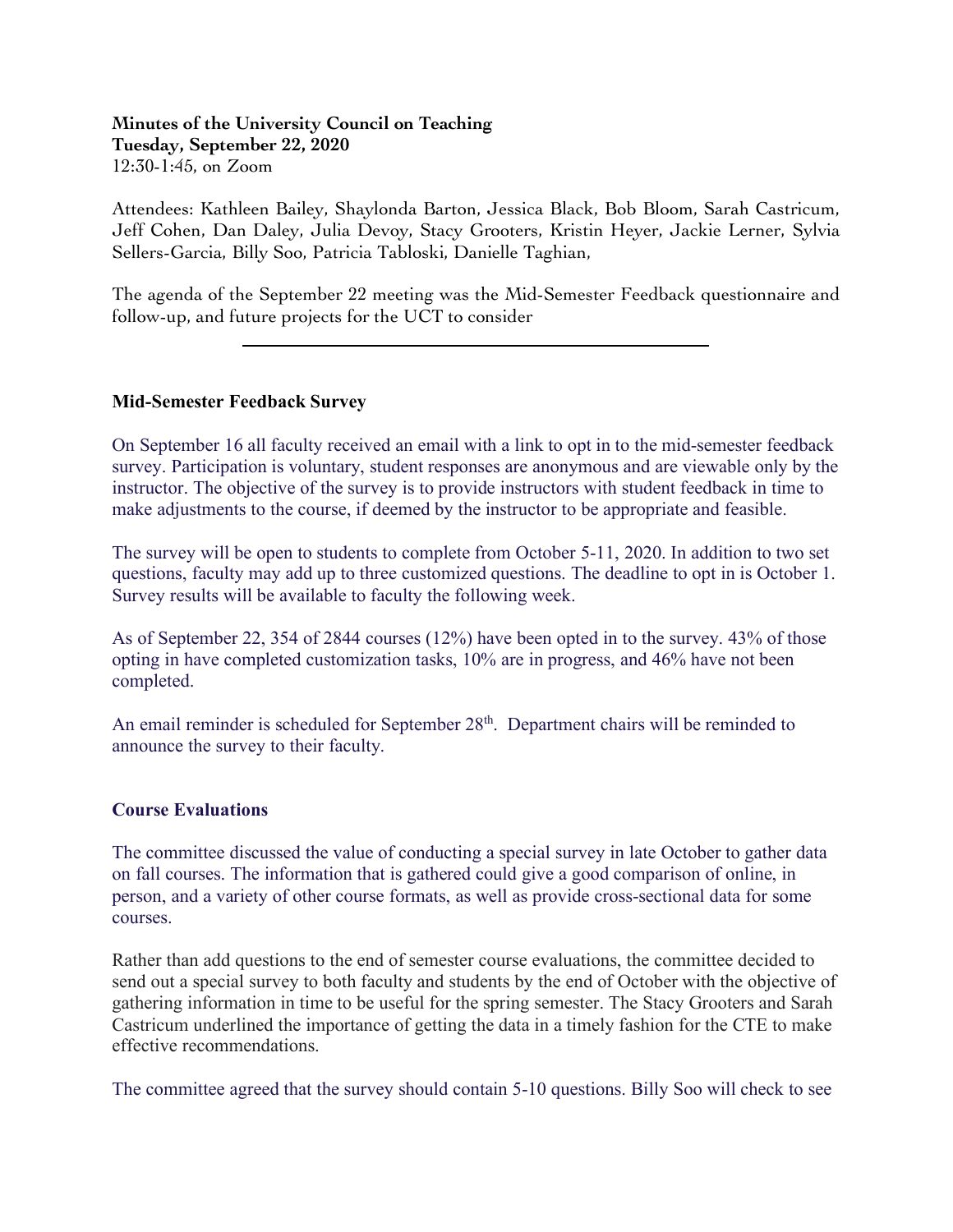**Minutes of the University Council on Teaching Tuesday, September 22, 2020** 12:30-1:45, on Zoom

Attendees: Kathleen Bailey, Shaylonda Barton, Jessica Black, Bob Bloom, Sarah Castricum, Jeff Cohen, Dan Daley, Julia Devoy, Stacy Grooters, Kristin Heyer, Jackie Lerner, Sylvia Sellers-Garcia, Billy Soo, Patricia Tabloski, Danielle Taghian,

The agenda of the September 22 meeting was the Mid-Semester Feedback questionnaire and follow-up, and future projects for the UCT to consider

## **Mid-Semester Feedback Survey**

 $\overline{a}$ 

On September 16 all faculty received an email with a link to opt in to the mid-semester feedback survey. Participation is voluntary, student responses are anonymous and are viewable only by the instructor. The objective of the survey is to provide instructors with student feedback in time to make adjustments to the course, if deemed by the instructor to be appropriate and feasible.

The survey will be open to students to complete from October 5-11, 2020. In addition to two set questions, faculty may add up to three customized questions. The deadline to opt in is October 1. Survey results will be available to faculty the following week.

As of September 22, 354 of 2844 courses (12%) have been opted in to the survey. 43% of those opting in have completed customization tasks, 10% are in progress, and 46% have not been completed.

An email reminder is scheduled for September  $28<sup>th</sup>$ . Department chairs will be reminded to announce the survey to their faculty.

## **Course Evaluations**

The committee discussed the value of conducting a special survey in late October to gather data on fall courses. The information that is gathered could give a good comparison of online, in person, and a variety of other course formats, as well as provide cross-sectional data for some courses.

Rather than add questions to the end of semester course evaluations, the committee decided to send out a special survey to both faculty and students by the end of October with the objective of gathering information in time to be useful for the spring semester. The Stacy Grooters and Sarah Castricum underlined the importance of getting the data in a timely fashion for the CTE to make effective recommendations.

The committee agreed that the survey should contain 5-10 questions. Billy Soo will check to see